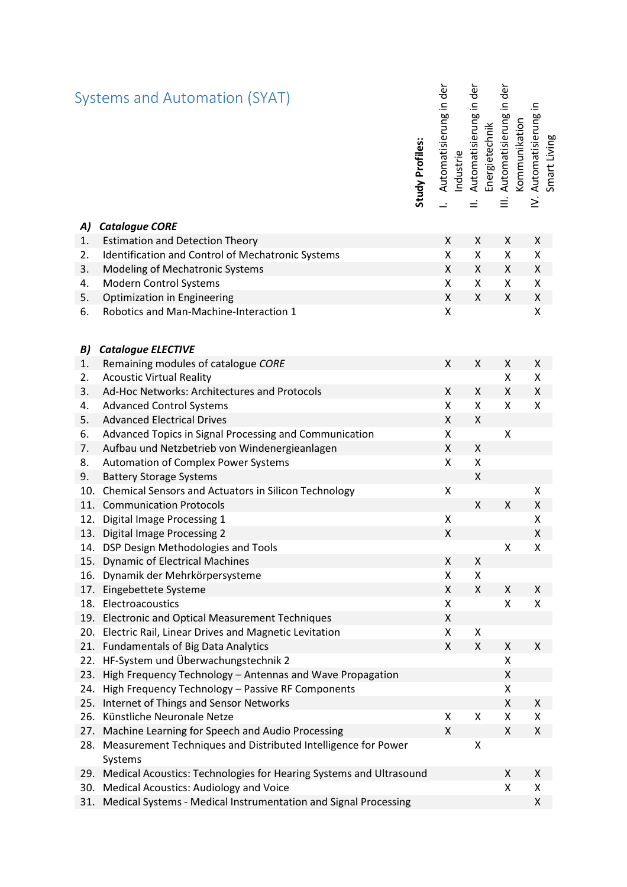|     | Systems and Automation (SYAT)                                            | Study Profiles: | Automatisierung in der | Automatisierung in der<br>ndustrie | in der<br>Automatisierung<br>Energietechnik<br>$\equiv$ | Kommunikation | Automatisierung in<br>≥́ | Smart Living |
|-----|--------------------------------------------------------------------------|-----------------|------------------------|------------------------------------|---------------------------------------------------------|---------------|--------------------------|--------------|
| A)  | <b>Catalogue CORE</b>                                                    |                 |                        |                                    |                                                         |               |                          |              |
| 1.  | <b>Estimation and Detection Theory</b>                                   |                 | X                      | Χ                                  | X                                                       |               | X                        |              |
| 2.  | Identification and Control of Mechatronic Systems                        |                 | Χ                      | X                                  | $\pmb{\mathsf{X}}$                                      |               | Χ                        |              |
| 3.  | Modeling of Mechatronic Systems                                          |                 | X                      | X                                  | X                                                       |               | X                        |              |
| 4.  | <b>Modern Control Systems</b>                                            |                 | X                      | X                                  | X                                                       |               | X                        |              |
| 5.  | Optimization in Engineering                                              |                 | Χ                      | X                                  | $\pmb{\mathsf{X}}$                                      |               | $\pmb{\mathsf{X}}$       |              |
| 6.  | Robotics and Man-Machine-Interaction 1                                   |                 | Χ                      |                                    |                                                         |               | $\pmb{\mathsf{X}}$       |              |
| B)  | <b>Catalogue ELECTIVE</b>                                                |                 |                        |                                    |                                                         |               |                          |              |
| 1.  | Remaining modules of catalogue CORE                                      |                 | X                      | X                                  | X                                                       |               | X                        |              |
| 2.  | <b>Acoustic Virtual Reality</b>                                          |                 |                        |                                    | Χ                                                       |               | X                        |              |
| 3.  | Ad-Hoc Networks: Architectures and Protocols                             |                 | X                      | X                                  | $\pmb{\chi}$                                            |               | Χ                        |              |
| 4.  | <b>Advanced Control Systems</b>                                          |                 | Χ                      | X                                  | X                                                       |               | Χ                        |              |
| 5.  | <b>Advanced Electrical Drives</b>                                        |                 | Χ                      | $\pmb{\mathsf{X}}$                 |                                                         |               |                          |              |
| 6.  | Advanced Topics in Signal Processing and Communication                   |                 | Χ                      |                                    | X                                                       |               |                          |              |
| 7.  | Aufbau und Netzbetrieb von Windenergieanlagen                            |                 | Χ                      | Χ                                  |                                                         |               |                          |              |
| 8.  | Automation of Complex Power Systems                                      |                 | $\pmb{\mathsf{X}}$     | $\pmb{\mathsf{X}}$                 |                                                         |               |                          |              |
| 9.  | <b>Battery Storage Systems</b>                                           |                 |                        | Χ                                  |                                                         |               |                          |              |
| 10. | <b>Chemical Sensors and Actuators in Silicon Technology</b>              |                 | Χ                      |                                    |                                                         |               | Χ                        |              |
| 11. | <b>Communication Protocols</b>                                           |                 |                        | Χ                                  | Χ                                                       |               | Χ                        |              |
| 12. | Digital Image Processing 1                                               |                 | Χ                      |                                    |                                                         |               | X                        |              |
| 13. | <b>Digital Image Processing 2</b>                                        |                 | Χ                      |                                    |                                                         |               | $\pmb{\mathsf{X}}$       |              |
| 14. | DSP Design Methodologies and Tools                                       |                 |                        |                                    | X                                                       |               | Χ                        |              |
| 15. | <b>Dynamic of Electrical Machines</b>                                    |                 | Χ                      | Χ                                  |                                                         |               |                          |              |
| 16. | Dynamik der Mehrkörpersysteme                                            |                 | Χ                      | Χ                                  |                                                         |               |                          |              |
| 17. | Eingebettete Systeme                                                     |                 | X                      | X                                  | X                                                       |               | X                        |              |
| 18. | Electroacoustics                                                         |                 | X                      |                                    | X                                                       |               | X                        |              |
| 19. | <b>Electronic and Optical Measurement Techniques</b>                     |                 | Χ                      |                                    |                                                         |               |                          |              |
| 20. | Electric Rail, Linear Drives and Magnetic Levitation                     |                 | X                      | Χ                                  |                                                         |               |                          |              |
| 21. | <b>Fundamentals of Big Data Analytics</b>                                |                 | Χ                      | X                                  | Χ                                                       |               | X                        |              |
| 22. | HF-System und Überwachungstechnik 2                                      |                 |                        |                                    | X                                                       |               |                          |              |
| 23. | High Frequency Technology - Antennas and Wave Propagation                |                 |                        |                                    | X                                                       |               |                          |              |
| 24. | High Frequency Technology - Passive RF Components                        |                 |                        |                                    | X                                                       |               |                          |              |
| 25. | Internet of Things and Sensor Networks                                   |                 |                        |                                    | X                                                       |               | X                        |              |
| 26. | Künstliche Neuronale Netze                                               |                 | Χ                      | Χ                                  | Χ                                                       |               | X                        |              |
| 27. | Machine Learning for Speech and Audio Processing                         |                 | X                      |                                    | X                                                       |               | X                        |              |
| 28. | Measurement Techniques and Distributed Intelligence for Power<br>Systems |                 |                        | Χ                                  |                                                         |               |                          |              |
| 29. | Medical Acoustics: Technologies for Hearing Systems and Ultrasound       |                 |                        |                                    | Χ                                                       |               | X                        |              |
| 30. | Medical Acoustics: Audiology and Voice                                   |                 |                        |                                    | Χ                                                       |               | X                        |              |
| 31. | Medical Systems - Medical Instrumentation and Signal Processing          |                 |                        |                                    |                                                         |               | Χ                        |              |